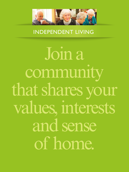

**INDEPENDENT LIVING IN/INK** 

Join a community that shares your values, interests and sense of home.